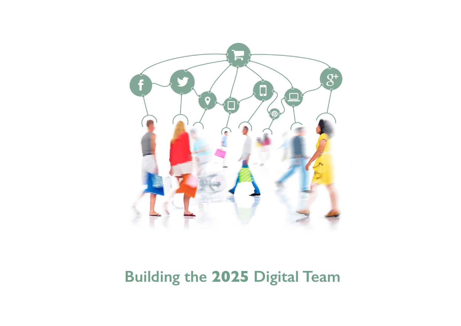

# **Building the 2025 Digital Team**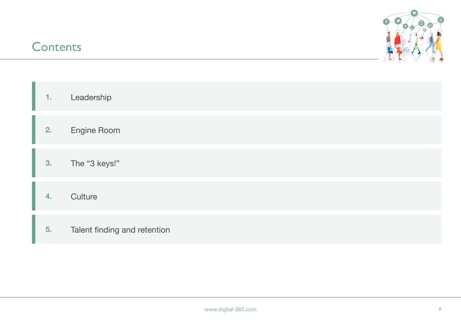### **Contents**



| 1.             | Leadership                   |
|----------------|------------------------------|
| 2.             | <b>Engine Room</b>           |
| 3.             | The "3 keys!"                |
| $\overline{4}$ | Culture                      |
| 5.             | Talent finding and retention |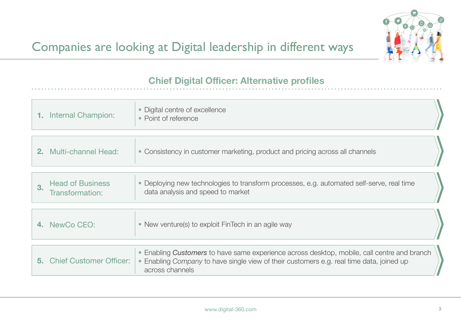

### **Chief Digital Officer: Alternative profiles**

| Internal Champion: | • Digital centre of excellence<br>Point of reference |  |
|--------------------|------------------------------------------------------|--|
|                    |                                                      |  |

| <b>2.</b> Multi-channel Head: | $\sim$ Consistency in customer marketing, product and pricing across all channels |  |
|-------------------------------|-----------------------------------------------------------------------------------|--|
|                               |                                                                                   |  |

| <b>Head of Business</b><br>Transformation: | • Deploying new technologies to transform processes, e.g. automated self-serve, real time<br>data analysis and speed to market |
|--------------------------------------------|--------------------------------------------------------------------------------------------------------------------------------|
|                                            |                                                                                                                                |

| 4. NewCo CEO: | $\blacktriangleright$ New venture(s) to exploit FinTech in an agile way |
|---------------|-------------------------------------------------------------------------|
|               |                                                                         |

| Enabling Customers to have same experience across desktop, mobile, call centre and branch<br><b>5. Chief Customer Officer:</b><br>• Enabling Company to have single view of their customers e.g. real time data, joined up<br>across channels |  |
|-----------------------------------------------------------------------------------------------------------------------------------------------------------------------------------------------------------------------------------------------|--|
|-----------------------------------------------------------------------------------------------------------------------------------------------------------------------------------------------------------------------------------------------|--|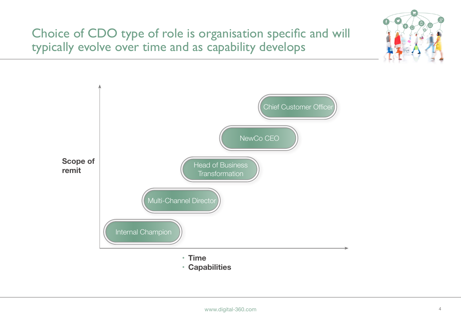Choice of CDO type of role is organisation specific and will typically evolve over time and as capability develops



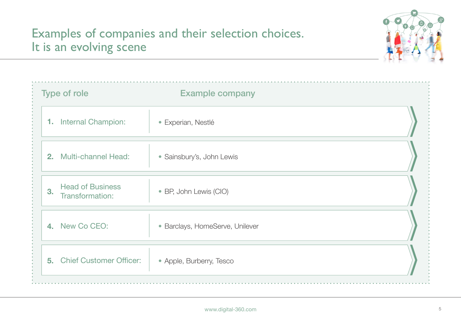# Examples of companies and their selection choices. It is an evolving scene



| Type of role                                     | <b>Example company</b>          |  |
|--------------------------------------------------|---------------------------------|--|
| <b>Internal Champion:</b><br>1.                  | · Experian, Nestlé              |  |
| <b>Multi-channel Head:</b><br>2 <sub>1</sub>     | • Sainsbury's, John Lewis       |  |
| <b>Head of Business</b><br>3.<br>Transformation: | • BP, John Lewis (CIO)          |  |
| 4. New Co CEO:                                   | · Barclays, HomeServe, Unilever |  |
| <b>Chief Customer Officer:</b><br>5.             | • Apple, Burberry, Tesco        |  |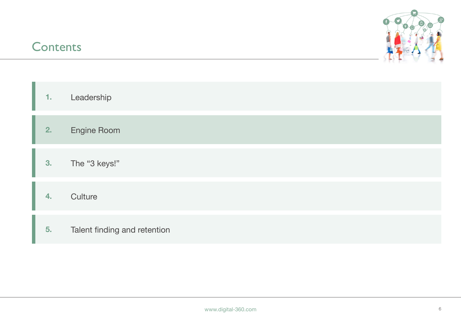### **Contents**



| 1.               | Leadership                   |
|------------------|------------------------------|
| 2.               | <b>Engine Room</b>           |
| 3.               | The "3 keys!"                |
| $\overline{4}$ . | Culture                      |
| 5.               | Talent finding and retention |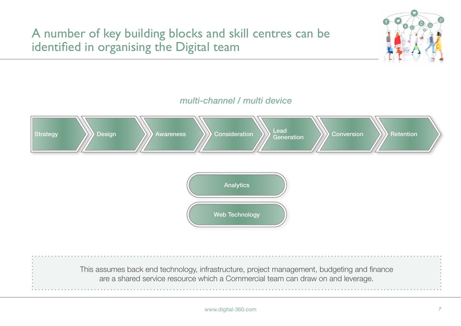

#### *multi-channel / multi device*



are a shared service resource which a Commercial team can draw on and leverage.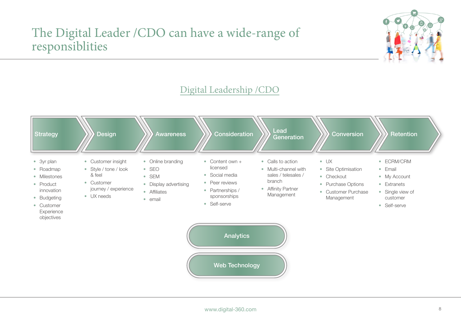### The Digital Leader /CDO can have a wide-range of responsiblities



### Digital Leadership /CDO

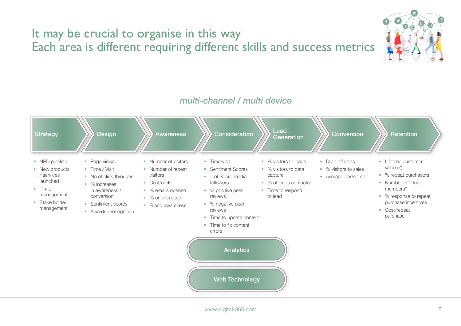

#### *multi-channel / multi device*

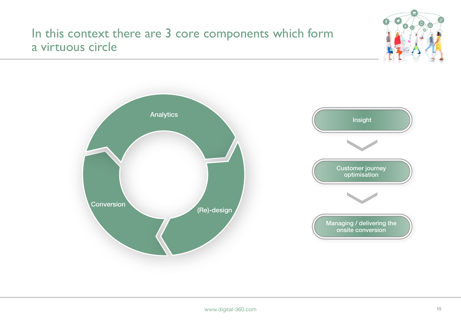### In this context there are 3 core components which form a virtuous circle



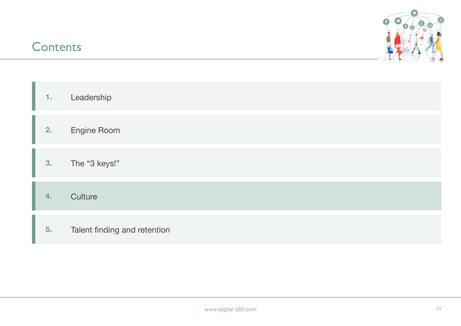### **Contents**



| 1.           | Leadership                   |
|--------------|------------------------------|
| 2.           | <b>Engine Room</b>           |
| 3.           | The "3 keys!"                |
| $\mathbf{4}$ | Culture                      |
| 5.           | Talent finding and retention |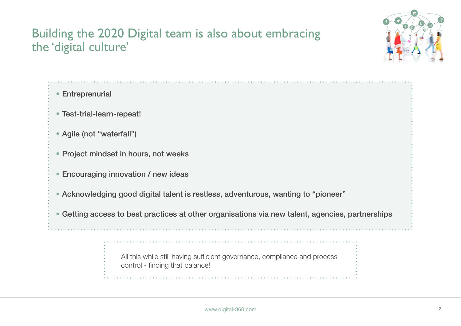# Building the 2020 Digital team is also about embracing the 'digital culture'



- Entreprenurial
- Test-trial-learn-repeat!
- Agile (not "waterfall")
- Project mindset in hours, not weeks
- Encouraging innovation / new ideas
- Acknowledging good digital talent is restless, adventurous, wanting to "pioneer"
- Getting access to best practices at other organisations via new talent, agencies, partnerships

All this while still having sufficient governance, compliance and process control - finding that balance!